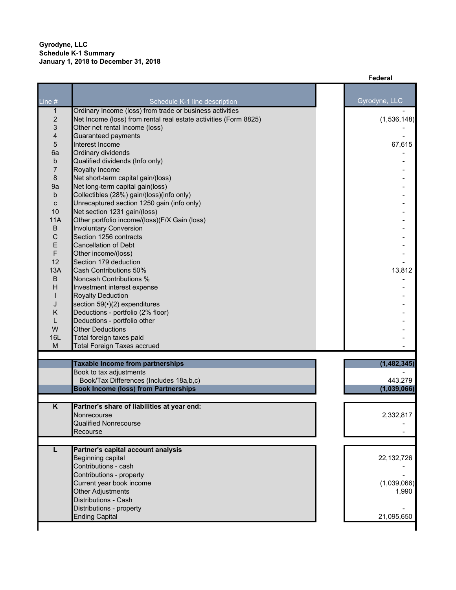|                         |                                                                            | Federal       |
|-------------------------|----------------------------------------------------------------------------|---------------|
|                         |                                                                            |               |
| Line $#$                | Schedule K-1 line description                                              | Gyrodyne, LLC |
| $\mathbf{1}$            | Ordinary Income (loss) from trade or business activities                   |               |
| $\boldsymbol{2}$        | Net Income (loss) from rental real estate activities (Form 8825)           | (1,536,148)   |
| $\mathsf 3$             | Other net rental Income (loss)                                             |               |
| 4                       | Guaranteed payments                                                        |               |
| $\sqrt{5}$              | Interest Income                                                            | 67,615        |
| 6a                      | Ordinary dividends                                                         |               |
| b                       | Qualified dividends (Info only)                                            |               |
| $\overline{7}$          | Royalty Income                                                             |               |
| 8                       | Net short-term capital gain/(loss)                                         |               |
| 9a                      | Net long-term capital gain(loss)                                           |               |
| b                       | Collectibles (28%) gain/(loss)(info only)                                  |               |
| $\mathbf C$<br>10       | Unrecaptured section 1250 gain (info only)<br>Net section 1231 gain/(loss) |               |
| <b>11A</b>              | Other portfolio income/(loss)(F/X Gain (loss)                              |               |
| $\sf B$                 | <b>Involuntary Conversion</b>                                              |               |
| $\mathsf C$             | Section 1256 contracts                                                     |               |
| E                       | <b>Cancellation of Debt</b>                                                |               |
| F                       | Other income/(loss)                                                        |               |
| 12                      | Section 179 deduction                                                      |               |
| 13A                     | Cash Contributions 50%                                                     | 13,812        |
| $\sf B$                 | Noncash Contributions %                                                    |               |
| H                       | Investment interest expense                                                |               |
|                         | <b>Royalty Deduction</b>                                                   |               |
| J                       | section 59( $\cdot$ )(2) expenditures                                      |               |
| Κ                       | Deductions - portfolio (2% floor)                                          |               |
| L                       | Deductions - portfolio other                                               |               |
| W                       | <b>Other Deductions</b>                                                    |               |
| <b>16L</b><br>M         | Total foreign taxes paid<br><b>Total Foreign Taxes accrued</b>             |               |
|                         |                                                                            |               |
|                         | <b>Taxable Income from partnerships</b>                                    | (1, 482, 345) |
|                         | Book to tax adjustments                                                    |               |
|                         | Book/Tax Differences (Includes 18a,b,c)                                    | 443,279       |
|                         | <b>Book Income (loss) from Partnerships</b>                                | (1,039,066)   |
|                         |                                                                            |               |
| $\overline{\mathsf{K}}$ | Partner's share of liabilities at year end:                                |               |
|                         | Nonrecourse                                                                | 2,332,817     |
|                         | <b>Qualified Nonrecourse</b>                                               |               |
|                         | Recourse                                                                   |               |
|                         |                                                                            |               |
|                         | Partner's capital account analysis                                         |               |
|                         | Beginning capital                                                          | 22,132,726    |
|                         | Contributions - cash<br>Contributions - property                           |               |
|                         | Current year book income                                                   | (1,039,066)   |
|                         | Other Adjustments                                                          | 1,990         |
|                         | Distributions - Cash                                                       |               |
|                         | Distributions - property                                                   |               |
|                         | <b>Ending Capital</b>                                                      | 21,095,650    |
|                         |                                                                            |               |